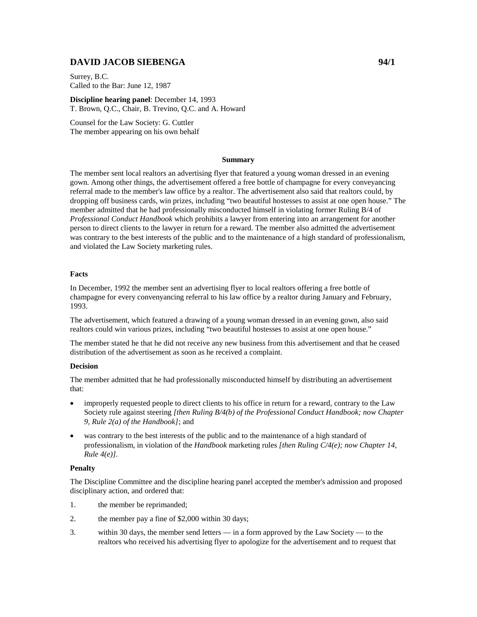# **DAVID JACOB SIEBENGA 94/1**

Surrey, B.C. Called to the Bar: June 12, 1987

**Discipline hearing panel**: December 14, 1993 T. Brown, Q.C., Chair, B. Trevino, Q.C. and A. Howard

Counsel for the Law Society: G. Cuttler The member appearing on his own behalf

#### **Summary**

The member sent local realtors an advertising flyer that featured a young woman dressed in an evening gown. Among other things, the advertisement offered a free bottle of champagne for every conveyancing referral made to the member's law office by a realtor. The advertisement also said that realtors could, by dropping off business cards, win prizes, including "two beautiful hostesses to assist at one open house." The member admitted that he had professionally misconducted himself in violating former Ruling B/4 of *Professional Conduct Handbook* which prohibits a lawyer from entering into an arrangement for another person to direct clients to the lawyer in return for a reward. The member also admitted the advertisement was contrary to the best interests of the public and to the maintenance of a high standard of professionalism, and violated the Law Society marketing rules.

## **Facts**

In December, 1992 the member sent an advertising flyer to local realtors offering a free bottle of champagne for every convenyancing referral to his law office by a realtor during January and February, 1993.

The advertisement, which featured a drawing of a young woman dressed in an evening gown, also said realtors could win various prizes, including "two beautiful hostesses to assist at one open house."

The member stated he that he did not receive any new business from this advertisement and that he ceased distribution of the advertisement as soon as he received a complaint.

#### **Decision**

The member admitted that he had professionally misconducted himself by distributing an advertisement that:

- improperly requested people to direct clients to his office in return for a reward, contrary to the Law Society rule against steering *[then Ruling B/4(b) of the Professional Conduct Handbook; now Chapter 9, Rule 2(a) of the Handbook]*; and
- was contrary to the best interests of the public and to the maintenance of a high standard of professionalism, in violation of the *Handbook* marketing rules *[then Ruling C/4(e); now Chapter 14, Rule 4(e)].*

## **Penalty**

The Discipline Committee and the discipline hearing panel accepted the member's admission and proposed disciplinary action, and ordered that:

- 1. the member be reprimanded;
- 2. the member pay a fine of \$2,000 within 30 days;
- 3. within 30 days, the member send letters in a form approved by the Law Society to the realtors who received his advertising flyer to apologize for the advertisement and to request that